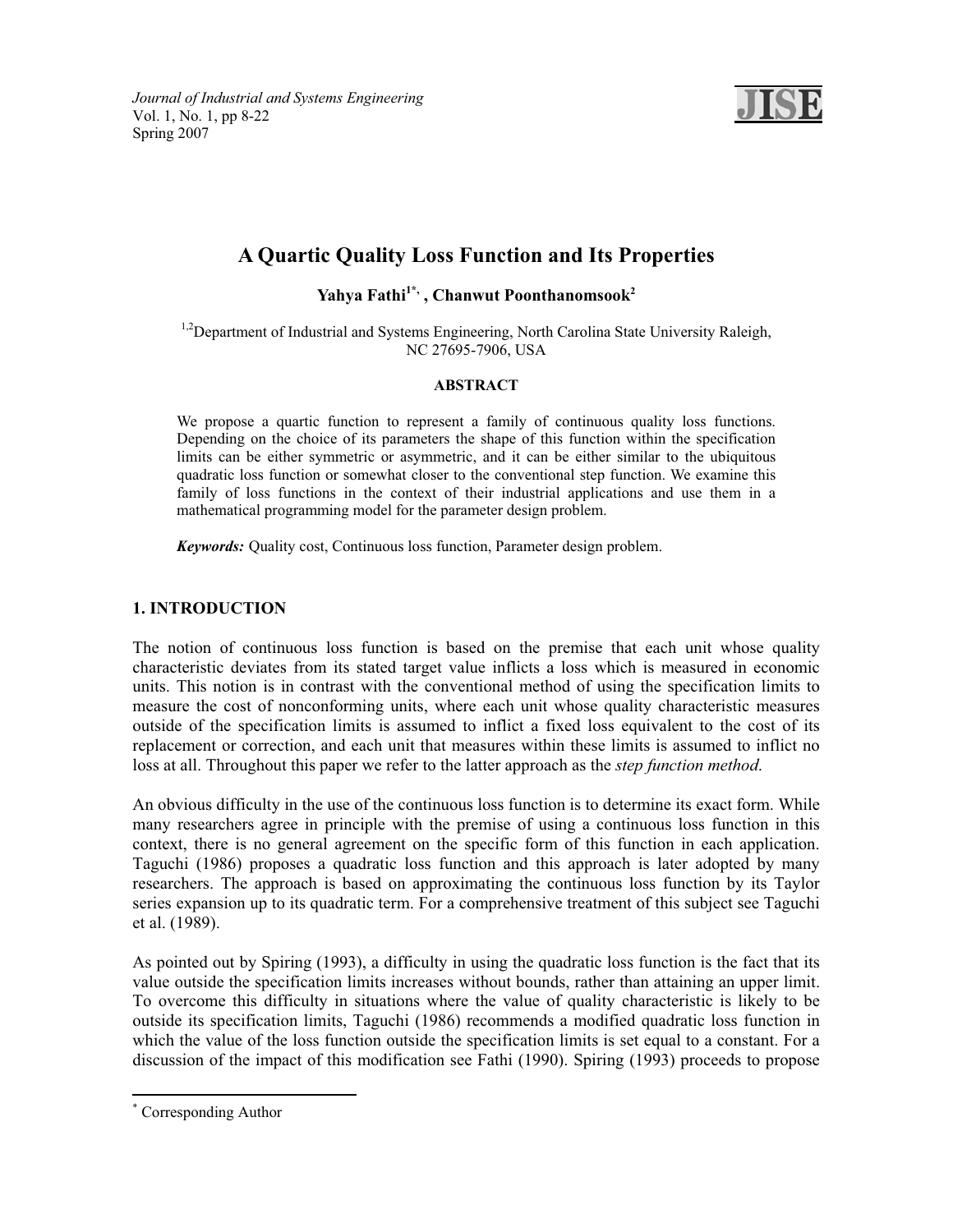*Journal of Industrial and Systems Engineering*  Vol. 1, No. 1, pp 8-22 Spring 2007



# **A Quartic Quality Loss Function and Its Properties**

Yahya Fathi<sup>1\*</sup>, Chanwut Poonthanomsook<sup>2</sup>

 $1.2$ Department of Industrial and Systems Engineering, North Carolina State University Raleigh, NC 27695-7906, USA

# **ABSTRACT**

We propose a quartic function to represent a family of continuous quality loss functions. Depending on the choice of its parameters the shape of this function within the specification limits can be either symmetric or asymmetric, and it can be either similar to the ubiquitous quadratic loss function or somewhat closer to the conventional step function. We examine this family of loss functions in the context of their industrial applications and use them in a mathematical programming model for the parameter design problem.

*Keywords:* Quality cost, Continuous loss function, Parameter design problem.

# **1. INTRODUCTION**

The notion of continuous loss function is based on the premise that each unit whose quality characteristic deviates from its stated target value inflicts a loss which is measured in economic units. This notion is in contrast with the conventional method of using the specification limits to measure the cost of nonconforming units, where each unit whose quality characteristic measures outside of the specification limits is assumed to inflict a fixed loss equivalent to the cost of its replacement or correction, and each unit that measures within these limits is assumed to inflict no loss at all. Throughout this paper we refer to the latter approach as the *step function method*.

An obvious difficulty in the use of the continuous loss function is to determine its exact form. While many researchers agree in principle with the premise of using a continuous loss function in this context, there is no general agreement on the specific form of this function in each application. Taguchi (1986) proposes a quadratic loss function and this approach is later adopted by many researchers. The approach is based on approximating the continuous loss function by its Taylor series expansion up to its quadratic term. For a comprehensive treatment of this subject see Taguchi et al. (1989).

As pointed out by Spiring (1993), a difficulty in using the quadratic loss function is the fact that its value outside the specification limits increases without bounds, rather than attaining an upper limit. To overcome this difficulty in situations where the value of quality characteristic is likely to be outside its specification limits, Taguchi (1986) recommends a modified quadratic loss function in which the value of the loss function outside the specification limits is set equal to a constant. For a discussion of the impact of this modification see Fathi (1990). Spiring (1993) proceeds to propose

<sup>\*</sup> Corresponding Author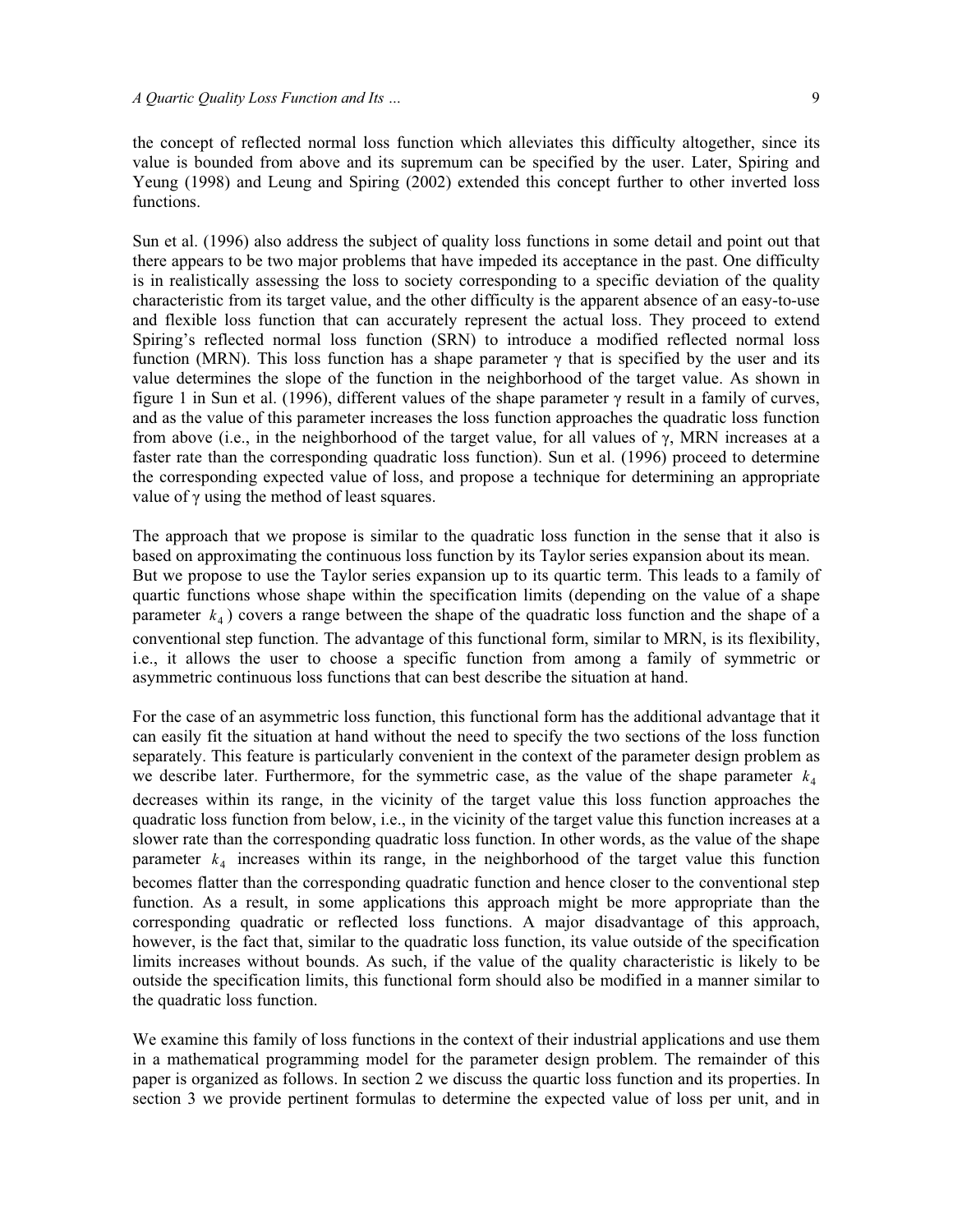the concept of reflected normal loss function which alleviates this difficulty altogether, since its value is bounded from above and its supremum can be specified by the user. Later, Spiring and Yeung (1998) and Leung and Spiring (2002) extended this concept further to other inverted loss functions.

Sun et al. (1996) also address the subject of quality loss functions in some detail and point out that there appears to be two major problems that have impeded its acceptance in the past. One difficulty is in realistically assessing the loss to society corresponding to a specific deviation of the quality characteristic from its target value, and the other difficulty is the apparent absence of an easy-to-use and flexible loss function that can accurately represent the actual loss. They proceed to extend Spiring's reflected normal loss function (SRN) to introduce a modified reflected normal loss function (MRN). This loss function has a shape parameter  $\gamma$  that is specified by the user and its value determines the slope of the function in the neighborhood of the target value. As shown in figure 1 in Sun et al. (1996), different values of the shape parameter  $\gamma$  result in a family of curves, and as the value of this parameter increases the loss function approaches the quadratic loss function from above (i.e., in the neighborhood of the target value, for all values of  $\gamma$ , MRN increases at a faster rate than the corresponding quadratic loss function). Sun et al. (1996) proceed to determine the corresponding expected value of loss, and propose a technique for determining an appropriate value of  $\gamma$  using the method of least squares.

The approach that we propose is similar to the quadratic loss function in the sense that it also is based on approximating the continuous loss function by its Taylor series expansion about its mean. But we propose to use the Taylor series expansion up to its quartic term. This leads to a family of quartic functions whose shape within the specification limits (depending on the value of a shape parameter  $k_4$ ) covers a range between the shape of the quadratic loss function and the shape of a conventional step function. The advantage of this functional form, similar to MRN, is its flexibility, i.e., it allows the user to choose a specific function from among a family of symmetric or asymmetric continuous loss functions that can best describe the situation at hand.

For the case of an asymmetric loss function, this functional form has the additional advantage that it can easily fit the situation at hand without the need to specify the two sections of the loss function separately. This feature is particularly convenient in the context of the parameter design problem as we describe later. Furthermore, for the symmetric case, as the value of the shape parameter  $k_4$ decreases within its range, in the vicinity of the target value this loss function approaches the quadratic loss function from below, i.e., in the vicinity of the target value this function increases at a slower rate than the corresponding quadratic loss function. In other words, as the value of the shape parameter  $k_4$  increases within its range, in the neighborhood of the target value this function becomes flatter than the corresponding quadratic function and hence closer to the conventional step function. As a result, in some applications this approach might be more appropriate than the corresponding quadratic or reflected loss functions. A major disadvantage of this approach, however, is the fact that, similar to the quadratic loss function, its value outside of the specification limits increases without bounds. As such, if the value of the quality characteristic is likely to be outside the specification limits, this functional form should also be modified in a manner similar to the quadratic loss function.

We examine this family of loss functions in the context of their industrial applications and use them in a mathematical programming model for the parameter design problem. The remainder of this paper is organized as follows. In section 2 we discuss the quartic loss function and its properties. In section 3 we provide pertinent formulas to determine the expected value of loss per unit, and in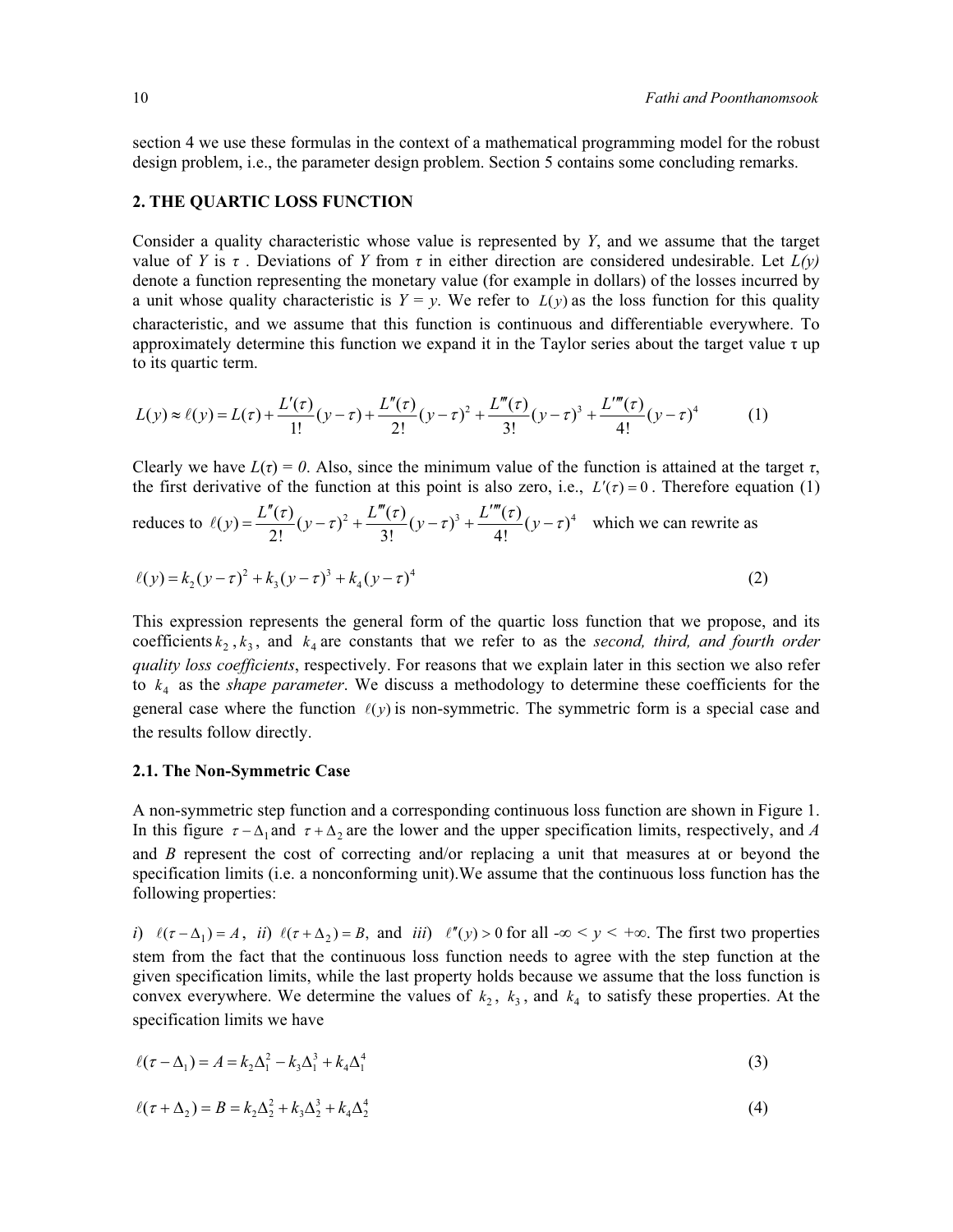section 4 we use these formulas in the context of a mathematical programming model for the robust design problem, i.e., the parameter design problem. Section 5 contains some concluding remarks.

#### **2. THE QUARTIC LOSS FUNCTION**

Consider a quality characteristic whose value is represented by *Y*, and we assume that the target value of *Y* is  $\tau$ . Deviations of *Y* from  $\tau$  in either direction are considered undesirable. Let  $L(y)$ denote a function representing the monetary value (for example in dollars) of the losses incurred by a unit whose quality characteristic is  $Y = y$ . We refer to  $L(y)$  as the loss function for this quality characteristic, and we assume that this function is continuous and differentiable everywhere. To approximately determine this function we expand it in the Taylor series about the target value  $\tau$  up to its quartic term.

$$
L(y) \approx \ell(y) = L(\tau) + \frac{L'(\tau)}{1!} (y - \tau) + \frac{L''(\tau)}{2!} (y - \tau)^2 + \frac{L'''(\tau)}{3!} (y - \tau)^3 + \frac{L''''(\tau)}{4!} (y - \tau)^4 \tag{1}
$$

Clearly we have  $L(\tau) = 0$ . Also, since the minimum value of the function is attained at the target  $\tau$ , the first derivative of the function at this point is also zero, i.e.,  $L'(\tau) = 0$ . Therefore equation (1)

reduces to 
$$
\ell(y) = \frac{L''(\tau)}{2!} (y - \tau)^2 + \frac{L'''(\tau)}{3!} (y - \tau)^3 + \frac{L''''(\tau)}{4!} (y - \tau)^4
$$
 which we can rewrite as

$$
\ell(y) = k_2(y - \tau)^2 + k_3(y - \tau)^3 + k_4(y - \tau)^4
$$
\n(2)

This expression represents the general form of the quartic loss function that we propose, and its coefficients  $k_2$ ,  $k_3$ , and  $k_4$  are constants that we refer to as the *second, third, and fourth order quality loss coefficients*, respectively. For reasons that we explain later in this section we also refer to  $k_4$  as the *shape parameter*. We discuss a methodology to determine these coefficients for the general case where the function  $\ell(y)$  is non-symmetric. The symmetric form is a special case and the results follow directly.

#### **2.1. The Non-Symmetric Case**

A non-symmetric step function and a corresponding continuous loss function are shown in Figure 1. In this figure  $\tau - \Delta_1$  and  $\tau + \Delta_2$  are the lower and the upper specification limits, respectively, and *A* and *B* represent the cost of correcting and/or replacing a unit that measures at or beyond the specification limits (i.e. a nonconforming unit).We assume that the continuous loss function has the following properties:

*i*)  $\ell(\tau - \Delta_1) = A$ , *ii*)  $\ell(\tau + \Delta_2) = B$ , and *iii*)  $\ell''(y) > 0$  for all  $-\infty < y < +\infty$ . The first two properties stem from the fact that the continuous loss function needs to agree with the step function at the given specification limits, while the last property holds because we assume that the loss function is convex everywhere. We determine the values of  $k_2$ ,  $k_3$ , and  $k_4$  to satisfy these properties. At the specification limits we have

$$
\ell(\tau - \Delta_1) = A = k_2 \Delta_1^2 - k_3 \Delta_1^3 + k_4 \Delta_1^4 \tag{3}
$$

$$
\ell(\tau + \Delta_2) = B = k_2 \Delta_2^2 + k_3 \Delta_2^3 + k_4 \Delta_2^4 \tag{4}
$$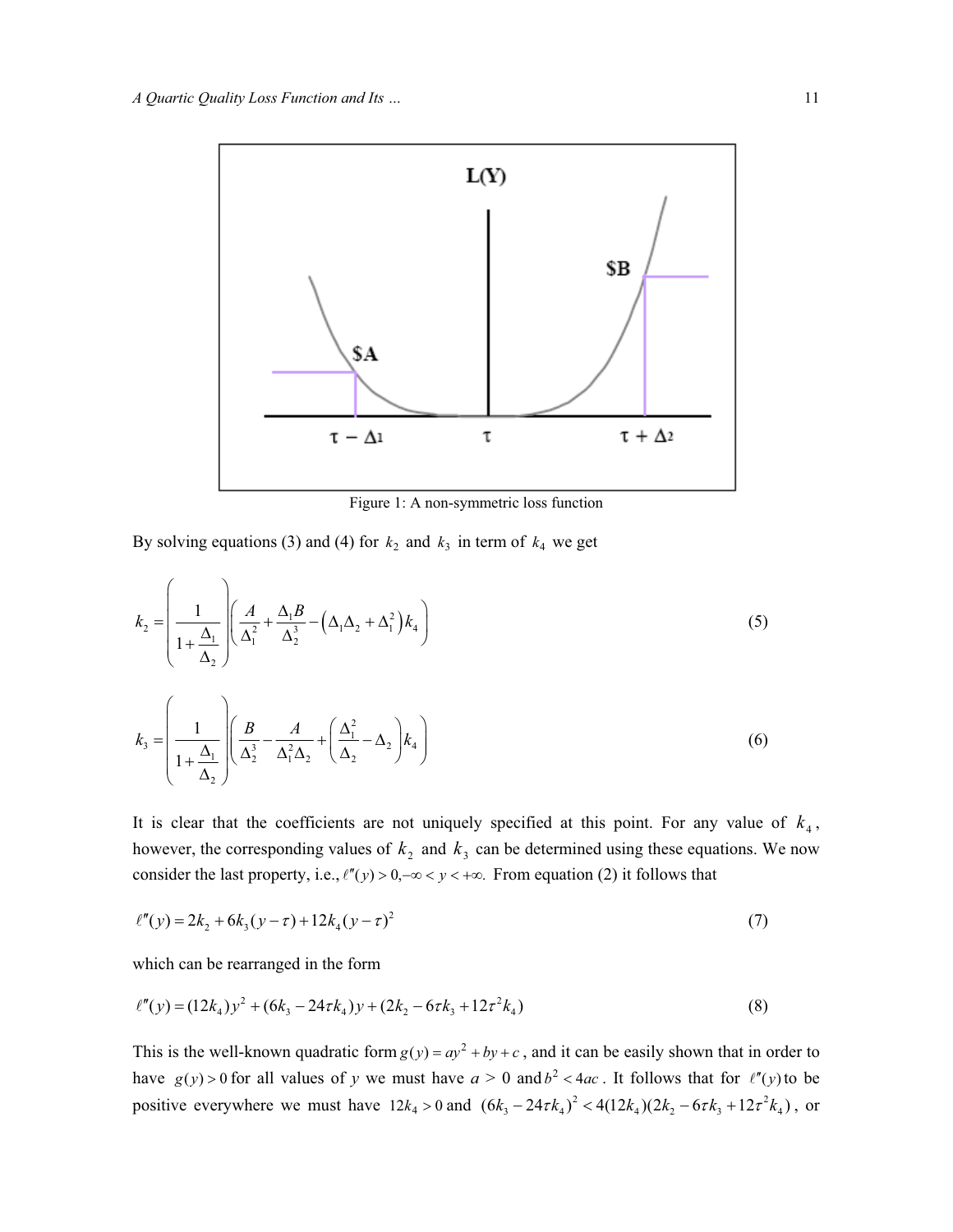

Figure 1: A non-symmetric loss function

By solving equations (3) and (4) for  $k_2$  and  $k_3$  in term of  $k_4$  we get

$$
k_2 = \left(\frac{1}{1 + \frac{\Delta_1}{\Delta_2}}\right) \left(\frac{A}{\Delta_1^2} + \frac{\Delta_1 B}{\Delta_2^3} - \left(\Delta_1 \Delta_2 + \Delta_1^2\right) k_4\right)
$$
\n
$$
k_3 = \left(\frac{1}{1 + \frac{\Delta_1}{\Delta_2}}\right) \left(\frac{B}{\Delta_2^3} - \frac{A}{\Delta_1^2 \Delta_2} + \left(\frac{\Delta_1^2}{\Delta_2} - \Delta_2\right) k_4\right)
$$
\n(6)

It is clear that the coefficients are not uniquely specified at this point. For any value of  $k_4$ , however, the corresponding values of  $k_2$  and  $k_3$  can be determined using these equations. We now consider the last property, i.e.,  $\ell''(y) > 0, -\infty < y < +\infty$ . From equation (2) it follows that

$$
\ell''(y) = 2k_2 + 6k_3(y - \tau) + 12k_4(y - \tau)^2
$$
\n(7)

which can be rearranged in the form

$$
\ell''(y) = (12k_4)y^2 + (6k_3 - 24\tau k_4)y + (2k_2 - 6\tau k_3 + 12\tau^2 k_4)
$$
\n(8)

This is the well-known quadratic form  $g(y) = ay^2 + by + c$ , and it can be easily shown that in order to have  $g(y) > 0$  for all values of y we must have  $a > 0$  and  $b^2 < 4ac$ . It follows that for  $\ell''(y)$  to be positive everywhere we must have  $12k_4 > 0$  and  $(6k_3 - 24\tau k_4)^2 < 4(12k_4)(2k_2 - 6\tau k_3 + 12\tau^2 k_4)$ , or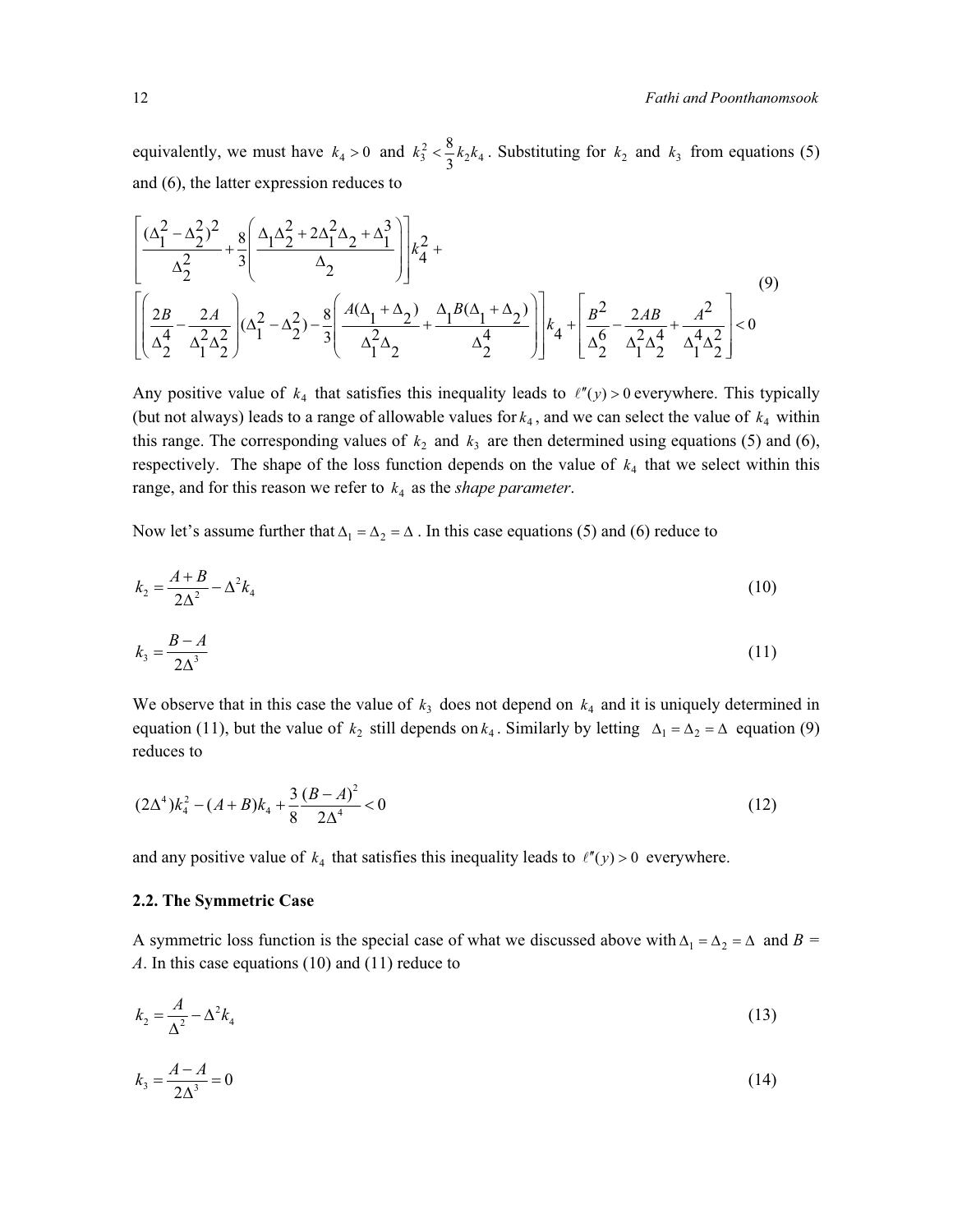equivalently, we must have  $k_4 > 0$  and  $k_3^2 < \frac{8}{3}k_2k_4$ . Substituting for  $k_2$  and  $k_3$  from equations (5) and (6), the latter expression reduces to

$$
\left[ \frac{(\Delta_1^2 - \Delta_2^2)^2}{\Delta_2^2} + \frac{8}{3} \left( \frac{\Delta_1 \Delta_2^2 + 2\Delta_1^2 \Delta_2 + \Delta_1^3}{\Delta_2} \right) \right] k_4^2 + \left[ \left( \frac{2B}{\Delta_2^4} - \frac{2A}{\Delta_1^2 \Delta_2^2} \right) (\Delta_1^2 - \Delta_2^2) - \frac{8}{3} \left( \frac{A(\Delta_1 + \Delta_2)}{\Delta_1^2 \Delta_2} + \frac{\Delta_1 B(\Delta_1 + \Delta_2)}{\Delta_2^4} \right) \right] k_4 + \left[ \frac{B^2}{\Delta_2^6} - \frac{2AB}{\Delta_1^2 \Delta_2^4} + \frac{A^2}{\Delta_1^4 \Delta_2^2} \right] < 0
$$
\n(9)

Any positive value of  $k_4$  that satisfies this inequality leads to  $\ell''(y) > 0$  everywhere. This typically (but not always) leads to a range of allowable values for  $k_4$ , and we can select the value of  $k_4$  within this range. The corresponding values of  $k_2$  and  $k_3$  are then determined using equations (5) and (6), respectively. The shape of the loss function depends on the value of  $k_4$  that we select within this range, and for this reason we refer to  $k_4$  as the *shape parameter*.

Now let's assume further that  $\Delta_1 = \Delta_2 = \Delta$ . In this case equations (5) and (6) reduce to

$$
k_2 = \frac{A+B}{2\Delta^2} - \Delta^2 k_4 \tag{10}
$$

$$
k_3 = \frac{B - A}{2\Delta^3} \tag{11}
$$

We observe that in this case the value of  $k_3$  does not depend on  $k_4$  and it is uniquely determined in equation (11), but the value of  $k_2$  still depends on  $k_4$ . Similarly by letting  $\Delta_1 = \Delta_2 = \Delta$  equation (9) reduces to

$$
(2\Delta^4)k_4^2 - (A+B)k_4 + \frac{3}{8}\frac{(B-A)^2}{2\Delta^4} < 0
$$
\n(12)

and any positive value of  $k_4$  that satisfies this inequality leads to  $\ell''(y) > 0$  everywhere.

# **2.2. The Symmetric Case**

A symmetric loss function is the special case of what we discussed above with  $\Delta_1 = \Delta_2 = \Delta$  and  $B =$ *A*. In this case equations (10) and (11) reduce to

$$
k_2 = \frac{A}{\Delta^2} - \Delta^2 k_4 \tag{13}
$$

$$
k_3 = \frac{A - A}{2\Delta^3} = 0\tag{14}
$$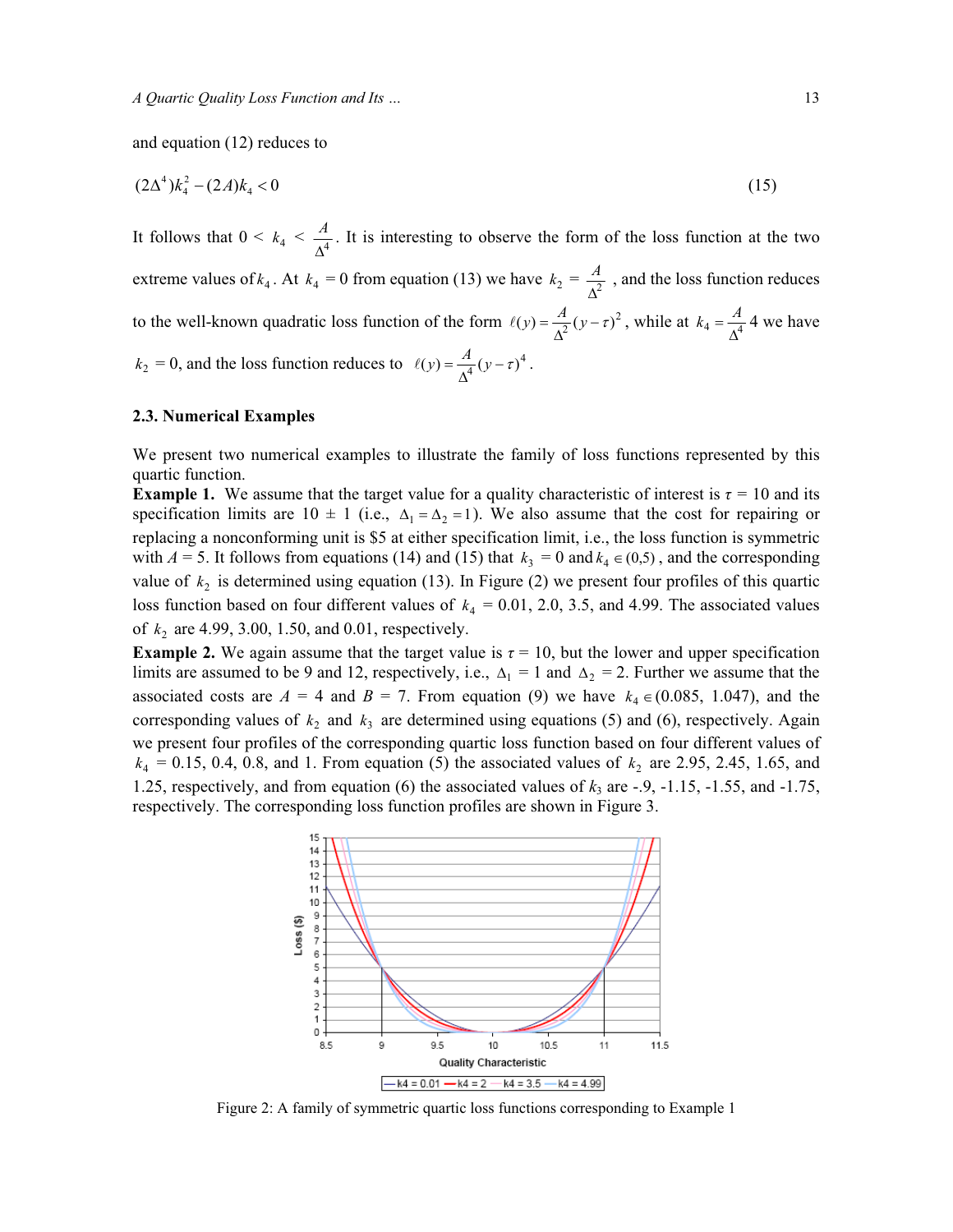and equation (12) reduces to

$$
(2\Delta^4)k_4^2 - (2A)k_4 < 0 \tag{15}
$$

It follows that  $0 \le k_4 \le \frac{A}{\Delta^4}$ . It is interesting to observe the form of the loss function at the two extreme values of  $k_4$ . At  $k_4 = 0$  from equation (13) we have  $k_2 = \frac{A}{\Delta^2}$ , and the loss function reduces to the well-known quadratic loss function of the form  $\ell(y) = \frac{A}{\Delta^2}(y - \tau)^2$ , while at  $k_4 = \frac{A}{\Delta^4}$  4 we have  $k_2 = 0$ , and the loss function reduces to  $\ell(y) = \frac{A}{\Delta^4} (y - \tau)^4$ .

#### **2.3. Numerical Examples**

We present two numerical examples to illustrate the family of loss functions represented by this quartic function.

**Example 1.** We assume that the target value for a quality characteristic of interest is  $\tau = 10$  and its specification limits are  $10 \pm 1$  (i.e.,  $\Delta_1 = \Delta_2 = 1$ ). We also assume that the cost for repairing or replacing a nonconforming unit is \$5 at either specification limit, i.e., the loss function is symmetric with  $A = 5$ . It follows from equations (14) and (15) that  $k_3 = 0$  and  $k_4 \in (0,5)$ , and the corresponding value of  $k_2$  is determined using equation (13). In Figure (2) we present four profiles of this quartic loss function based on four different values of  $k_4 = 0.01, 2.0, 3.5,$  and 4.99. The associated values of  $k_2$  are 4.99, 3.00, 1.50, and 0.01, respectively.

**Example 2.** We again assume that the target value is  $\tau = 10$ , but the lower and upper specification limits are assumed to be 9 and 12, respectively, i.e.,  $\Delta_1 = 1$  and  $\Delta_2 = 2$ . Further we assume that the associated costs are  $A = 4$  and  $B = 7$ . From equation (9) we have  $k_4 \in (0.085, 1.047)$ , and the corresponding values of  $k_2$  and  $k_3$  are determined using equations (5) and (6), respectively. Again we present four profiles of the corresponding quartic loss function based on four different values of  $k_4 = 0.15, 0.4, 0.8,$  and 1. From equation (5) the associated values of  $k_2$  are 2.95, 2.45, 1.65, and 1.25, respectively, and from equation  $(6)$  the associated values of  $k_3$  are  $-0.9$ ,  $-1.15$ ,  $-1.55$ , and  $-1.75$ , respectively. The corresponding loss function profiles are shown in Figure 3.



Figure 2: A family of symmetric quartic loss functions corresponding to Example 1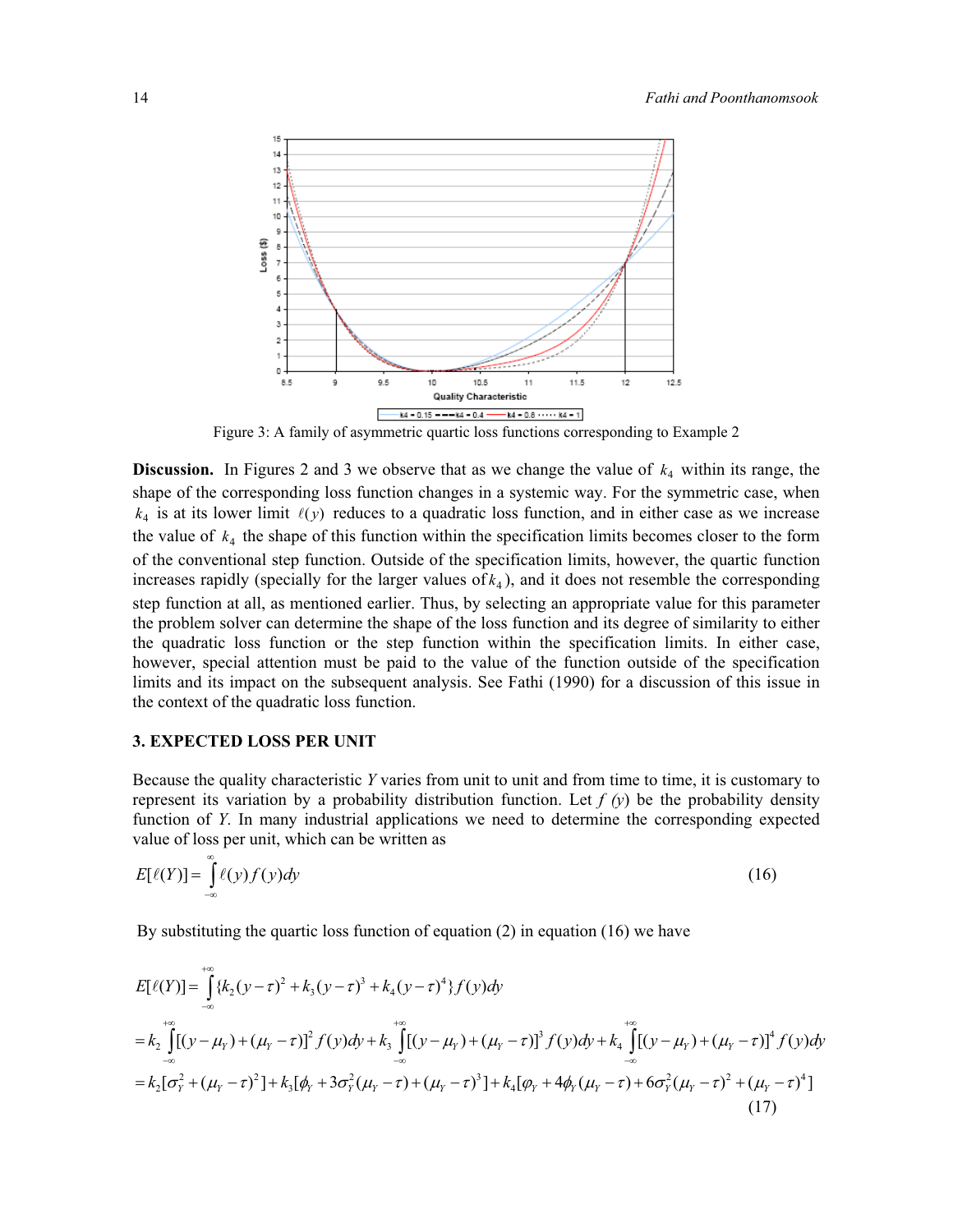

Figure 3: A family of asymmetric quartic loss functions corresponding to Example 2

**Discussion.** In Figures 2 and 3 we observe that as we change the value of  $k_4$  within its range, the shape of the corresponding loss function changes in a systemic way. For the symmetric case, when  $k_4$  is at its lower limit  $\ell(y)$  reduces to a quadratic loss function, and in either case as we increase the value of  $k_4$  the shape of this function within the specification limits becomes closer to the form of the conventional step function. Outside of the specification limits, however, the quartic function increases rapidly (specially for the larger values of  $k_4$ ), and it does not resemble the corresponding step function at all, as mentioned earlier. Thus, by selecting an appropriate value for this parameter the problem solver can determine the shape of the loss function and its degree of similarity to either the quadratic loss function or the step function within the specification limits. In either case, however, special attention must be paid to the value of the function outside of the specification limits and its impact on the subsequent analysis. See Fathi (1990) for a discussion of this issue in the context of the quadratic loss function.

# **3. EXPECTED LOSS PER UNIT**

Because the quality characteristic *Y* varies from unit to unit and from time to time, it is customary to represent its variation by a probability distribution function. Let  $f(y)$  be the probability density function of *Y*. In many industrial applications we need to determine the corresponding expected value of loss per unit, which can be written as

$$
E[\ell(Y)] = \int_{-\infty}^{\infty} \ell(y) f(y) dy \tag{16}
$$

By substituting the quartic loss function of equation (2) in equation (16) we have

$$
E[\ell(Y)] = \int_{-\infty}^{+\infty} \{k_2(y-\tau)^2 + k_3(y-\tau)^3 + k_4(y-\tau)^4\} f(y) dy
$$
  
\n
$$
= k_2 \int_{-\infty}^{+\infty} [(y-\mu_Y) + (\mu_Y - \tau)]^2 f(y) dy + k_3 \int_{-\infty}^{+\infty} [(y-\mu_Y) + (\mu_Y - \tau)]^3 f(y) dy + k_4 \int_{-\infty}^{+\infty} [(y-\mu_Y) + (\mu_Y - \tau)]^4 f(y) dy
$$
  
\n
$$
= k_2 [\sigma_Y^2 + (\mu_Y - \tau)^2] + k_3 [\phi_Y + 3\sigma_Y^2 (\mu_Y - \tau) + (\mu_Y - \tau)^3] + k_4 [\phi_Y + 4\phi_Y (\mu_Y - \tau) + 6\sigma_Y^2 (\mu_Y - \tau)^2 + (\mu_Y - \tau)^4]
$$
\n(17)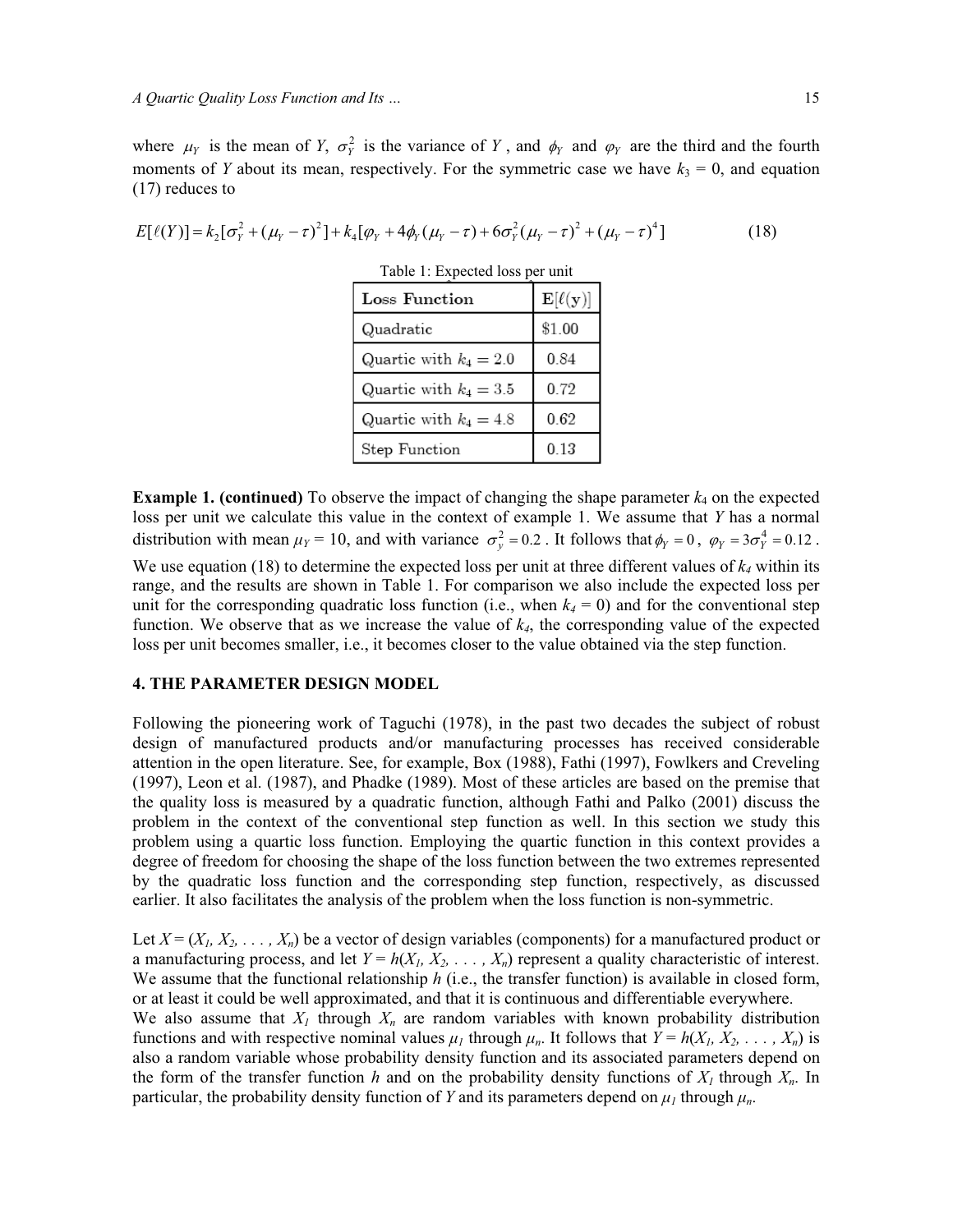where  $\mu_Y$  is the mean of *Y*,  $\sigma_Y^2$  is the variance of *Y*, and  $\phi_Y$  and  $\phi_Y$  are the third and the fourth moments of *Y* about its mean, respectively. For the symmetric case we have  $k_3 = 0$ , and equation (17) reduces to

$$
E[\ell(Y)] = k_2[\sigma_Y^2 + (\mu_Y - \tau)^2] + k_4[\varphi_Y + 4\phi_Y(\mu_Y - \tau) + 6\sigma_Y^2(\mu_Y - \tau)^2 + (\mu_Y - \tau)^4]
$$
(18)

| Table 1: Expected loss per unit |                                |  |  |
|---------------------------------|--------------------------------|--|--|
| Loss Function                   | $\mathbf{E}[\ell(\mathbf{y})]$ |  |  |
| Quadratic                       | \$1.00                         |  |  |
| Quartic with $k_4 = 2.0$        | 0.84                           |  |  |
| Quartic with $k_4 = 3.5$        | 0.72                           |  |  |
| Quartic with $k_4 = 4.8$        | 0.62                           |  |  |
| Step Function                   | 0.13                           |  |  |

**Example 1. (continued)** To observe the impact of changing the shape parameter  $k_4$  on the expected loss per unit we calculate this value in the context of example 1. We assume that *Y* has a normal distribution with mean  $\mu_Y = 10$ , and with variance  $\sigma_y^2 = 0.2$ . It follows that  $\phi_Y = 0$ ,  $\phi_Y = 3\sigma_Y^4 = 0.12$ . We use equation (18) to determine the expected loss per unit at three different values of  $k_4$  within its

range, and the results are shown in Table 1. For comparison we also include the expected loss per unit for the corresponding quadratic loss function (i.e., when  $k_4 = 0$ ) and for the conventional step function. We observe that as we increase the value of  $k<sub>4</sub>$ , the corresponding value of the expected loss per unit becomes smaller, i.e., it becomes closer to the value obtained via the step function.

# **4. THE PARAMETER DESIGN MODEL**

Following the pioneering work of Taguchi (1978), in the past two decades the subject of robust design of manufactured products and/or manufacturing processes has received considerable attention in the open literature. See, for example, Box (1988), Fathi (1997), Fowlkers and Creveling (1997), Leon et al. (1987), and Phadke (1989). Most of these articles are based on the premise that the quality loss is measured by a quadratic function, although Fathi and Palko (2001) discuss the problem in the context of the conventional step function as well. In this section we study this problem using a quartic loss function. Employing the quartic function in this context provides a degree of freedom for choosing the shape of the loss function between the two extremes represented by the quadratic loss function and the corresponding step function, respectively, as discussed earlier. It also facilitates the analysis of the problem when the loss function is non-symmetric.

Let  $X = (X_1, X_2, \ldots, X_n)$  be a vector of design variables (components) for a manufactured product or a manufacturing process, and let  $Y = h(X_1, X_2, \ldots, X_n)$  represent a quality characteristic of interest. We assume that the functional relationship *h* (i.e., the transfer function) is available in closed form, or at least it could be well approximated, and that it is continuous and differentiable everywhere. We also assume that  $X_I$  through  $X_n$  are random variables with known probability distribution functions and with respective nominal values  $\mu_1$  through  $\mu_n$ . It follows that  $Y = h(X_1, X_2, \ldots, X_n)$  is also a random variable whose probability density function and its associated parameters depend on the form of the transfer function *h* and on the probability density functions of  $X_I$  through  $X_n$ . In particular, the probability density function of *Y* and its parameters depend on  $\mu_I$  through  $\mu_n$ .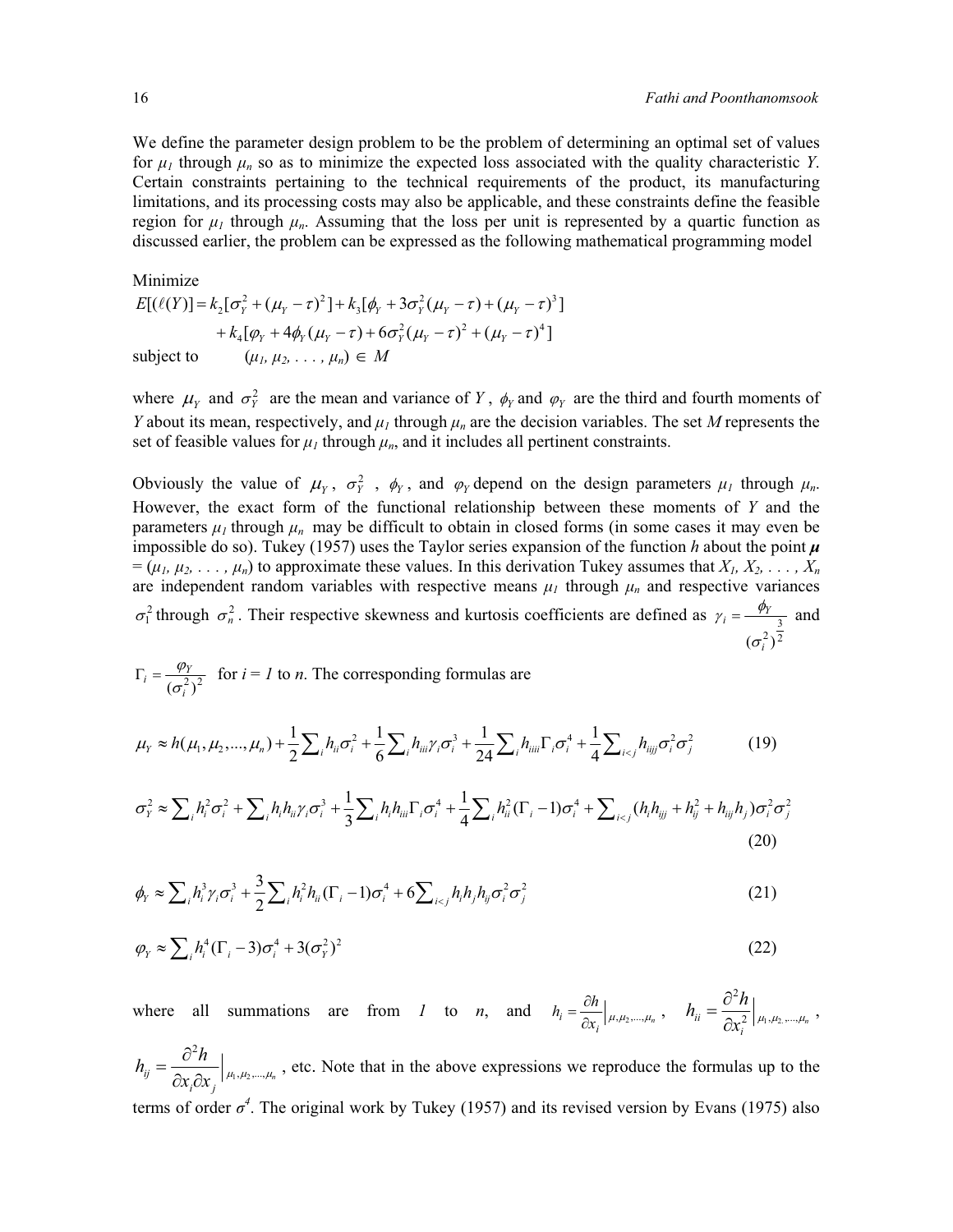We define the parameter design problem to be the problem of determining an optimal set of values for  $\mu_I$  through  $\mu_n$  so as to minimize the expected loss associated with the quality characteristic *Y*. Certain constraints pertaining to the technical requirements of the product, its manufacturing limitations, and its processing costs may also be applicable, and these constraints define the feasible region for  $\mu_1$  through  $\mu_n$ . Assuming that the loss per unit is represented by a quartic function as discussed earlier, the problem can be expressed as the following mathematical programming model

Minimize  
\n
$$
E[(\ell(Y)] = k_2[\sigma_Y^2 + (\mu_Y - \tau)^2] + k_3[\phi_Y + 3\sigma_Y^2(\mu_Y - \tau) + (\mu_Y - \tau)^3]
$$
\n
$$
+ k_4[\phi_Y + 4\phi_Y(\mu_Y - \tau) + 6\sigma_Y^2(\mu_Y - \tau)^2 + (\mu_Y - \tau)^4]
$$
\nsubject to  
\n
$$
(\mu_1, \mu_2, \dots, \mu_n) \in M
$$

where  $\mu_Y$  and  $\sigma_Y^2$  are the mean and variance of *Y*,  $\phi_Y$  and  $\phi_Y$  are the third and fourth moments of *Y* about its mean, respectively, and  $\mu_1$  through  $\mu_n$  are the decision variables. The set *M* represents the set of feasible values for  $\mu_1$  through  $\mu_n$ , and it includes all pertinent constraints.

Obviously the value of  $\mu_Y$ ,  $\sigma_Y^2$ ,  $\phi_Y$ , and  $\phi_Y$  depend on the design parameters  $\mu_I$  through  $\mu_n$ . However, the exact form of the functional relationship between these moments of *Y* and the parameters  $\mu_l$  through  $\mu_n$  may be difficult to obtain in closed forms (in some cases it may even be impossible do so). Tukey (1957) uses the Taylor series expansion of the function  $h$  about the point  $\mu$  $= (\mu_1, \mu_2, \ldots, \mu_n)$  to approximate these values. In this derivation Tukey assumes that  $X_1, X_2, \ldots, X_n$ are independent random variables with respective means  $\mu_I$  through  $\mu_n$  and respective variances  $\sigma_1^2$  through  $\sigma_n^2$ . Their respective skewness and kurtosis coefficients are defined as 2 3  $(\sigma_i^2)$  $y_i = \frac{\psi_Y}{\psi_Y}$  $\sigma$  $\gamma_i = \frac{\phi_Y}{\beta}$  and

$$
\Gamma_i = \frac{\varphi_Y}{(\sigma_i^2)^2}
$$
 for  $i = 1$  to *n*. The corresponding formulas are

$$
\mu_{Y} \approx h(\mu_{1}, \mu_{2}, ..., \mu_{n}) + \frac{1}{2} \sum_{i} h_{ii} \sigma_{i}^{2} + \frac{1}{6} \sum_{i} h_{ii i} \gamma_{i} \sigma_{i}^{3} + \frac{1}{24} \sum_{i} h_{ii ii} \Gamma_{i} \sigma_{i}^{4} + \frac{1}{4} \sum_{i < j} h_{i i j j} \sigma_{i}^{2} \sigma_{j}^{2} \tag{19}
$$

$$
\sigma_Y^2 \approx \sum_i h_i^2 \sigma_i^2 + \sum_i h_i h_{ii} \gamma_i \sigma_i^3 + \frac{1}{3} \sum_i h_i h_{iii} \Gamma_i \sigma_i^4 + \frac{1}{4} \sum_i h_{ii}^2 (\Gamma_i - 1) \sigma_i^4 + \sum_{i < j} (h_i h_{ijj} + h_{ij}^2 + h_{ijj} h_j) \sigma_i^2 \sigma_j^2 \tag{20}
$$

$$
\phi_Y \approx \sum_i h_i^3 \gamma_i \sigma_i^3 + \frac{3}{2} \sum_i h_i^2 h_{ii} (\Gamma_i - 1) \sigma_i^4 + 6 \sum_{i < j} h_i h_j h_{ij} \sigma_i^2 \sigma_j^2 \tag{21}
$$

$$
\varphi_Y \approx \sum_i h_i^4 (\Gamma_i - 3) \sigma_i^4 + 3(\sigma_Y^2)^2 \tag{22}
$$

where all summations are from *1* to *n*, and  $h_i = \frac{\partial h}{\partial x_i} \bigg|_{\mu, \mu_2, ..., \mu_n}$ ,  $h_{ii} = \frac{\partial^2 h}{\partial x_i^2} \bigg|_{\mu_1, \mu_2}$  $\hat{a}$ <sup> $\hat{a}$ </sup> $\hat{a}$ <sup>2</sup>,  $|\mu_1, \mu_2, ..., \mu_n$  $h_{ii} = \frac{\partial^2 h}{\partial x^2}$  $=\frac{\partial^2 h}{\partial x_i^2}\Big|_{\mu_1,\mu_2,...,\mu_n} \ ,$ 

 $n_1, \mu_2$ 2  $\int_{i,j}^{i,j} \frac{1}{i} \partial x_i \partial x_j \int_{i,j}^{i} \mu_1, \mu_2, ..., \mu_n$  $h_{ii} = \frac{\partial^2 h}{\partial x^2}$  $=\frac{\partial^2 h}{\partial x_i \partial x_j}\Big|_{\mu_1,\mu_2,\dots,\mu_n}$ , etc. Note that in the above expressions we reproduce the formulas up to the terms of order  $\sigma^4$ . The original work by Tukey (1957) and its revised version by Evans (1975) also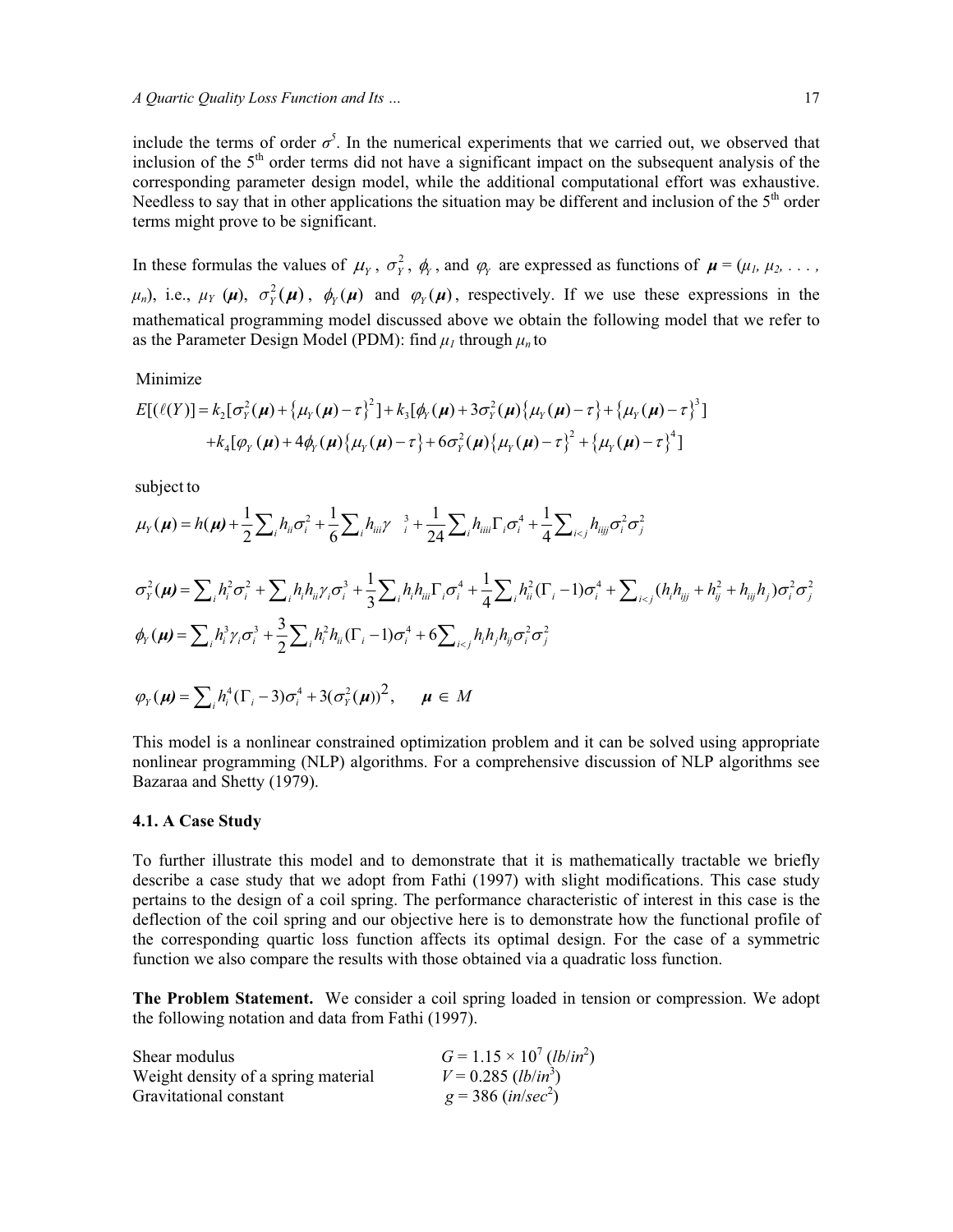include the terms of order  $\sigma^5$ . In the numerical experiments that we carried out, we observed that inclusion of the  $5<sup>th</sup>$  order terms did not have a significant impact on the subsequent analysis of the corresponding parameter design model, while the additional computational effort was exhaustive. Needless to say that in other applications the situation may be different and inclusion of the  $5<sup>th</sup>$  order terms might prove to be significant.

In these formulas the values of  $\mu_Y$ ,  $\sigma_Y^2$ ,  $\phi_Y$ , and  $\phi_Y$  are expressed as functions of  $\mu = (\mu_I, \mu_2, \dots, \mu_N)$  $\mu_n$ ), i.e.,  $\mu_Y(\mu)$ ,  $\sigma_Y^2(\mu)$ ,  $\phi_Y(\mu)$  and  $\phi_Y(\mu)$ , respectively. If we use these expressions in the mathematical programming model discussed above we obtain the following model that we refer to as the Parameter Design Model (PDM): find  $\mu_l$  through  $\mu_n$  to

### Minimize

$$
E[(\ell(Y)] = k_2[\sigma_Y^2(\mu) + {\mu_Y(\mu) - \tau}_1^2] + k_3[\phi_Y(\mu) + 3\sigma_Y^2(\mu){\mu_Y(\mu) - \tau}_1^2 + {\mu_Y(\mu) - \tau}_1^3]
$$
  
+  $k_4[\phi_Y(\mu) + 4\phi_Y(\mu){\mu_Y(\mu) - \tau}_1^2 + 6\sigma_Y^2(\mu){\mu_Y(\mu) - \tau}_1^2 + {\mu_Y(\mu) - \tau}_1^4]$ 

subject to

$$
\mu_{Y}(\mu) = h(\mu) + \frac{1}{2} \sum_{i} h_{ii} \sigma_{i}^{2} + \frac{1}{6} \sum_{i} h_{iii} \gamma^{-3} + \frac{1}{24} \sum_{i} h_{iii} \Gamma_{i} \sigma_{i}^{4} + \frac{1}{4} \sum_{i < j} h_{ijj} \sigma_{i}^{2} \sigma_{j}^{2}
$$
\n
$$
\sigma_{Y}^{2}(\mu) = \sum_{i} h_{i}^{2} \sigma_{i}^{2} + \sum_{i} h_{i} h_{ii} \gamma_{i} \sigma_{i}^{3} + \frac{1}{3} \sum_{i} h_{i} h_{ii} \Gamma_{i} \sigma_{i}^{4} + \frac{1}{4} \sum_{i} h_{ii}^{2} (\Gamma_{i} - 1) \sigma_{i}^{4} + \sum_{i < j} (h_{i} h_{ijj} + h_{ij}^{2} + h_{ijj} h_{j}) \sigma_{i}^{2} \sigma_{j}^{2}
$$
\n
$$
\phi_{Y}(\mu) = \sum_{i} h_{i}^{3} \gamma_{i} \sigma_{i}^{3} + \frac{3}{2} \sum_{i} h_{i}^{2} h_{ii} (\Gamma_{i} - 1) \sigma_{i}^{4} + 6 \sum_{i < j} h_{i} h_{j} h_{ij} \sigma_{i}^{2} \sigma_{j}^{2}
$$
\n
$$
\phi_{Y}(\mu) = \sum_{i} h_{i}^{4} (\Gamma_{i} - 3) \sigma_{i}^{4} + 3(\sigma_{Y}^{2}(\mu))^{2}, \quad \mu \in M
$$

This model is a nonlinear constrained optimization problem and it can be solved using appropriate nonlinear programming (NLP) algorithms. For a comprehensive discussion of NLP algorithms see Bazaraa and Shetty (1979).

#### **4.1. A Case Study**

To further illustrate this model and to demonstrate that it is mathematically tractable we briefly describe a case study that we adopt from Fathi (1997) with slight modifications. This case study pertains to the design of a coil spring. The performance characteristic of interest in this case is the deflection of the coil spring and our objective here is to demonstrate how the functional profile of the corresponding quartic loss function affects its optimal design. For the case of a symmetric function we also compare the results with those obtained via a quadratic loss function.

**The Problem Statement.** We consider a coil spring loaded in tension or compression. We adopt the following notation and data from Fathi (1997).

| Shear modulus                       | $G = 1.15 \times 10^7$ (lb/in <sup>2</sup> ) |
|-------------------------------------|----------------------------------------------|
| Weight density of a spring material | $V = 0.285$ ( <i>lb/in</i> <sup>3</sup> )    |
| Gravitational constant              | $g = 386$ (in/sec <sup>2</sup> )             |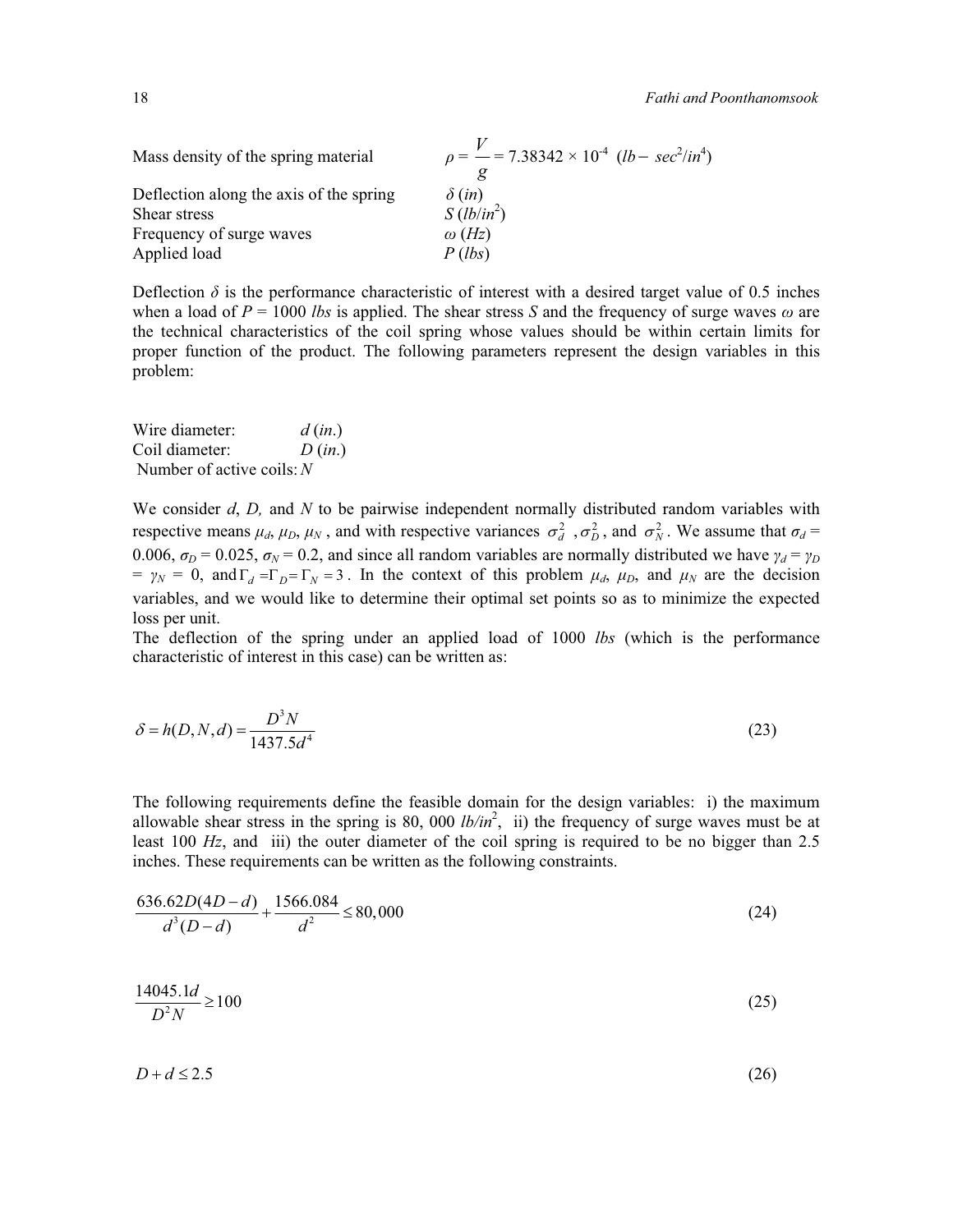| Mass density of the spring material     | $p = \frac{V}{I} = 7.38342 \times 10^{4}$ (lb – sec <sup>2</sup> /in <sup>4</sup> ) |
|-----------------------------------------|-------------------------------------------------------------------------------------|
| Deflection along the axis of the spring | $\delta$ (in)                                                                       |
| Shear stress                            | $S(lb/in^2)$                                                                        |
| Frequency of surge waves                | $\omega$ (Hz)                                                                       |
| Applied load                            | P(lbs)                                                                              |

Deflection  $\delta$  is the performance characteristic of interest with a desired target value of 0.5 inches when a load of  $P = 1000$  *lbs* is applied. The shear stress *S* and the frequency of surge waves  $\omega$  are the technical characteristics of the coil spring whose values should be within certain limits for proper function of the product. The following parameters represent the design variables in this problem:

| Wire diameter:              | d(in.) |
|-----------------------------|--------|
| Coil diameter:              | D(in.) |
| Number of active coils: $N$ |        |

We consider *d*, *D,* and *N* to be pairwise independent normally distributed random variables with respective means  $\mu_d$ ,  $\mu_D$ ,  $\mu_N$ , and with respective variances  $\sigma_d^2$ ,  $\sigma_D^2$ , and  $\sigma_N^2$ . We assume that  $\sigma_d$ 0.006,  $\sigma_D = 0.025$ ,  $\sigma_N = 0.2$ , and since all random variables are normally distributed we have  $\gamma_d = \gamma_D$  $= \gamma_N = 0$ , and  $\Gamma_d = \Gamma_p = \Gamma_N = 3$ . In the context of this problem  $\mu_d$ ,  $\mu_D$ , and  $\mu_N$  are the decision variables, and we would like to determine their optimal set points so as to minimize the expected loss per unit.

The deflection of the spring under an applied load of 1000 *lbs* (which is the performance characteristic of interest in this case) can be written as:

$$
\delta = h(D, N, d) = \frac{D^3 N}{1437.5d^4}
$$
\n(23)

The following requirements define the feasible domain for the design variables: i) the maximum allowable shear stress in the spring is 80, 000  $lb/in^2$ , ii) the frequency of surge waves must be at least 100 *Hz*, and iii) the outer diameter of the coil spring is required to be no bigger than 2.5 inches. These requirements can be written as the following constraints.

$$
\frac{636.62D(4D-d)}{d^3(D-d)} + \frac{1566.084}{d^2} \le 80,000\tag{24}
$$

$$
\frac{14045.1d}{D^2N} \ge 100\tag{25}
$$

 $D + d \le 2.5$  (26)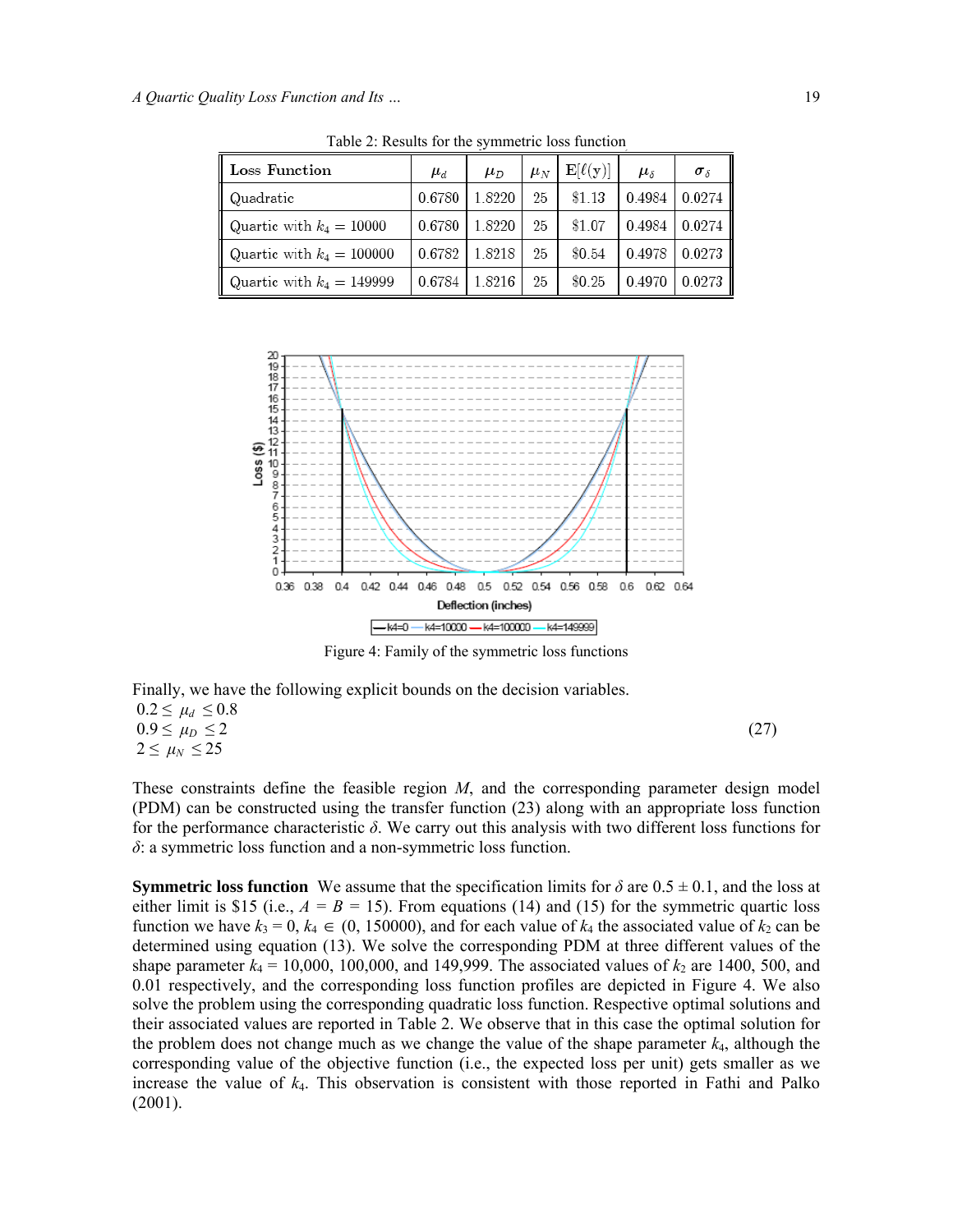| Loss Function               | $\mu_d$ | $\mu_D$ | $\mu_N$ | $\mathbf{E}[\ell(\mathbf{y})]$ | $\mu_{\delta}$ | $\sigma_{\delta}$ |
|-----------------------------|---------|---------|---------|--------------------------------|----------------|-------------------|
| Quadratic                   | 0.6780  | 18220   | 25      | \$1.13                         | 0.4984         | 0.0274            |
| Quartic with $k_4 = 10000$  | 0.6780  | 18220   | 25      | \$1.07                         | 0.4984         | 0.0274            |
| Quartic with $k_4 = 100000$ | 0.6782  | 18218   | 25      | \$0.54                         | 0.4978         | 0.0273            |
| Quartic with $k_4 = 149999$ | 0.6784  | 18216   | 25      | \$0.25                         | 0.4970         | 0.0273            |

Table 2: Results for the symmetric loss function



Figure 4: Family of the symmetric loss functions

Finally, we have the following explicit bounds on the decision variables.

 $0.2 \leq \mu_d \leq 0.8$  $0.9 \le \mu_D \le 2$  (27)  $2 \leq \mu_N \leq 25$ 

These constraints define the feasible region *M*, and the corresponding parameter design model (PDM) can be constructed using the transfer function (23) along with an appropriate loss function for the performance characteristic *δ*. We carry out this analysis with two different loss functions for *δ*: a symmetric loss function and a non-symmetric loss function.

**Symmetric loss function** We assume that the specification limits for  $\delta$  are  $0.5 \pm 0.1$ , and the loss at either limit is \$15 (i.e.,  $A = B = 15$ ). From equations (14) and (15) for the symmetric quartic loss function we have  $k_3 = 0$ ,  $k_4 \in (0, 150000)$ , and for each value of  $k_4$  the associated value of  $k_2$  can be determined using equation (13). We solve the corresponding PDM at three different values of the shape parameter  $k_4 = 10,000, 100,000,$  and 149,999. The associated values of  $k_2$  are 1400, 500, and 0.01 respectively, and the corresponding loss function profiles are depicted in Figure 4. We also solve the problem using the corresponding quadratic loss function. Respective optimal solutions and their associated values are reported in Table 2. We observe that in this case the optimal solution for the problem does not change much as we change the value of the shape parameter *k*4, although the corresponding value of the objective function (i.e., the expected loss per unit) gets smaller as we increase the value of  $k<sub>4</sub>$ . This observation is consistent with those reported in Fathi and Palko (2001).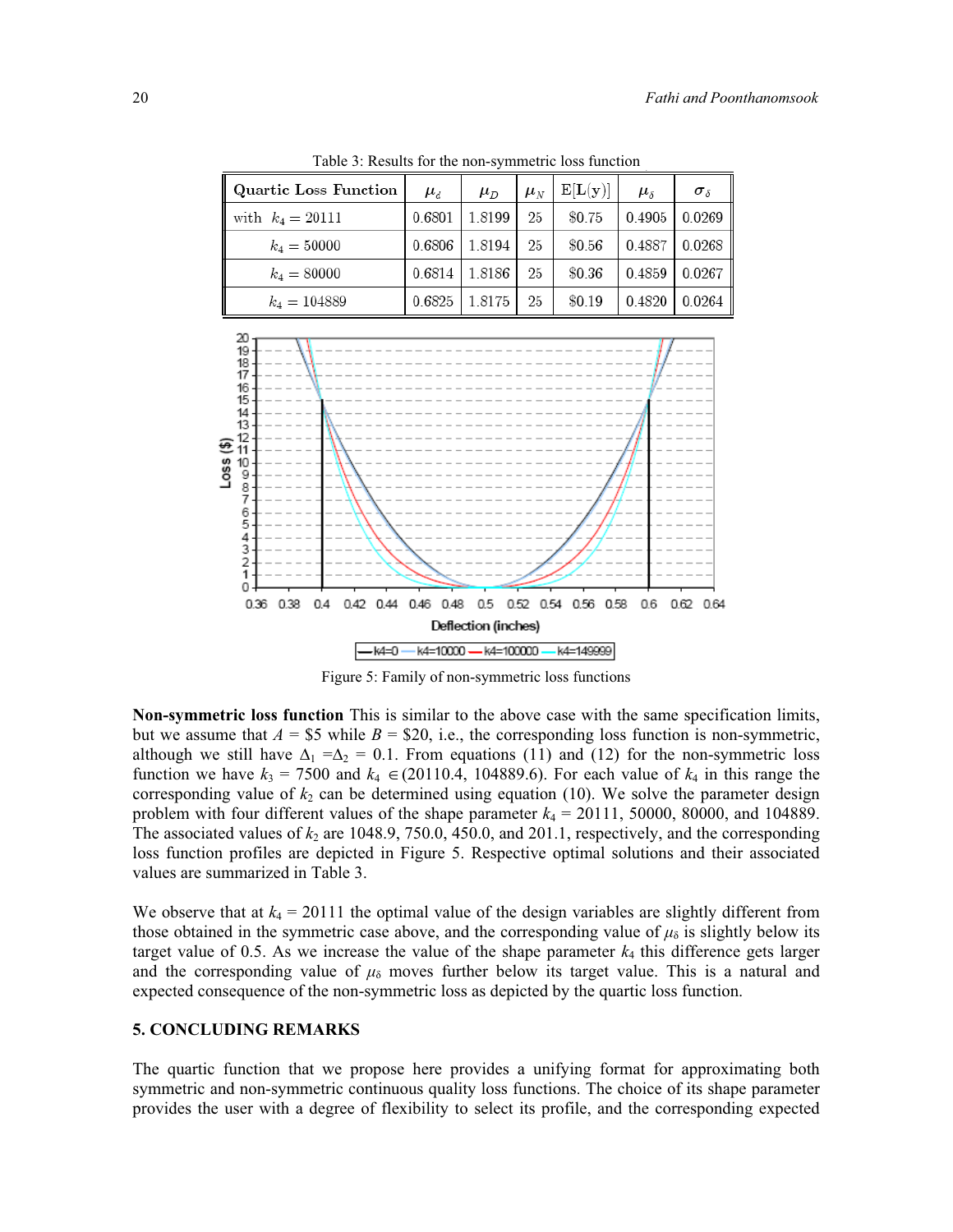Table 3: Results for the non-symmetric loss function

| Quartic Loss Function | $\mu_d$ | $\mu_D$ | $\mu_N$ | E[L(y)] | $\mu_{\delta}$ | $\sigma_{\delta}$ |
|-----------------------|---------|---------|---------|---------|----------------|-------------------|
| with $k_4 = 20111$    | 0.6801  | 1.8199  | 25      | \$0.75  | 0.4905         | 0.0269            |
| $k_4 = 50000$         | 0.6806  | 1.8194  | 25      | \$0.56  | 0.4887         | 0.0268            |
| $k_4 = 80000$         | 0.6814  | 1.8186  | 25      | \$0.36  | 0.4859         | 0.0267            |
| $k_4 = 104889$        | 0.6825  | 1.8175  | 25      | \$0.19  | 0.4820         | 0.0264            |



Figure 5: Family of non-symmetric loss functions

**Non-symmetric loss function** This is similar to the above case with the same specification limits, but we assume that  $A = $5$  while  $B = $20$ , i.e., the corresponding loss function is non-symmetric, although we still have  $\Delta_1 = \Delta_2 = 0.1$ . From equations (11) and (12) for the non-symmetric loss function we have  $k_3 = 7500$  and  $k_4 \in (20110.4, 104889.6)$ . For each value of  $k_4$  in this range the corresponding value of  $k_2$  can be determined using equation (10). We solve the parameter design problem with four different values of the shape parameter  $k_4 = 20111$ , 50000, 80000, and 104889. The associated values of  $k_2$  are 1048.9, 750.0, 450.0, and 201.1, respectively, and the corresponding loss function profiles are depicted in Figure 5. Respective optimal solutions and their associated values are summarized in Table 3.

We observe that at  $k_4 = 20111$  the optimal value of the design variables are slightly different from those obtained in the symmetric case above, and the corresponding value of  $\mu_{\delta}$  is slightly below its target value of 0.5. As we increase the value of the shape parameter  $k_4$  this difference gets larger and the corresponding value of  $\mu_{\delta}$  moves further below its target value. This is a natural and expected consequence of the non-symmetric loss as depicted by the quartic loss function.

#### **5. CONCLUDING REMARKS**

The quartic function that we propose here provides a unifying format for approximating both symmetric and non-symmetric continuous quality loss functions. The choice of its shape parameter provides the user with a degree of flexibility to select its profile, and the corresponding expected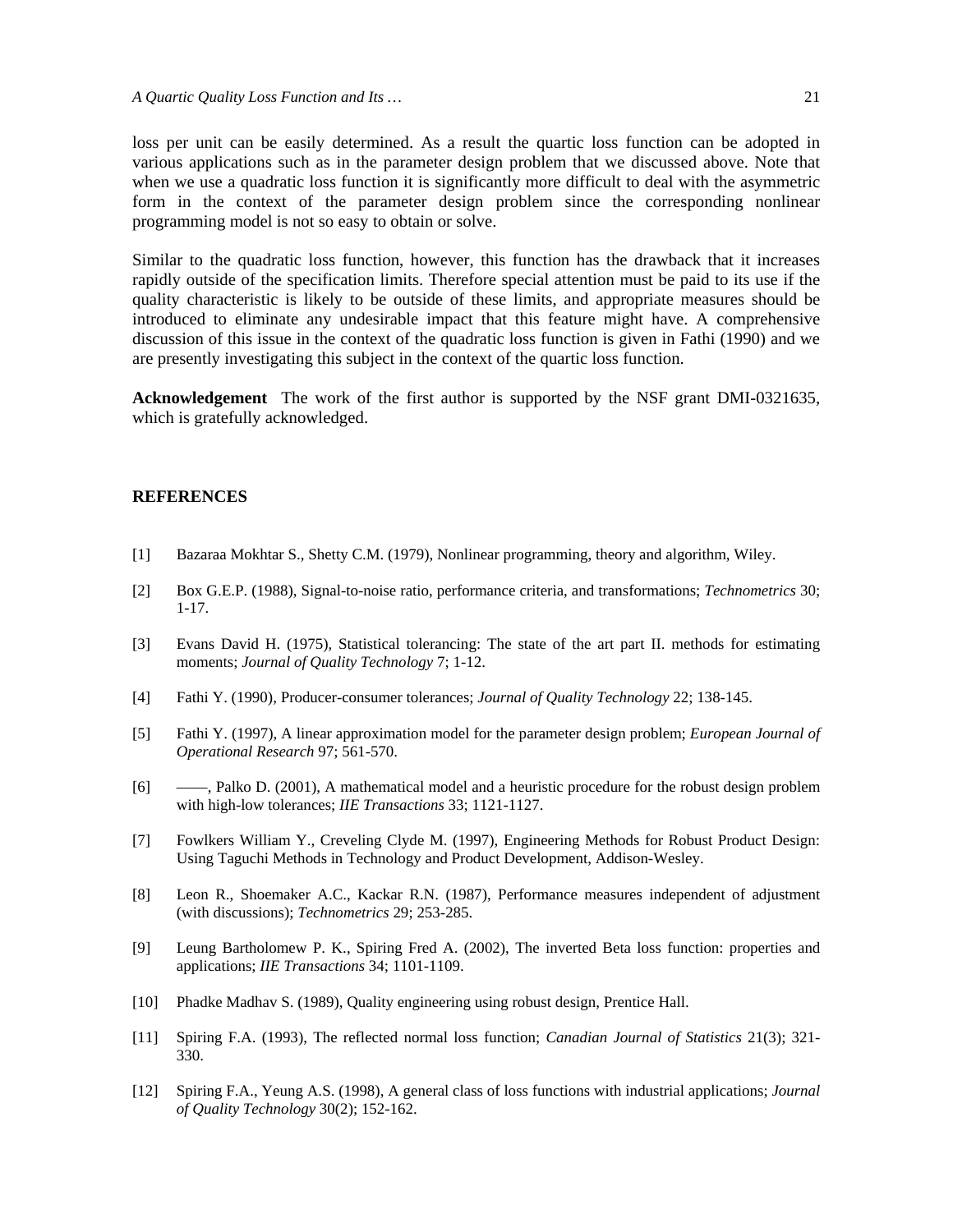loss per unit can be easily determined. As a result the quartic loss function can be adopted in various applications such as in the parameter design problem that we discussed above. Note that when we use a quadratic loss function it is significantly more difficult to deal with the asymmetric form in the context of the parameter design problem since the corresponding nonlinear programming model is not so easy to obtain or solve.

Similar to the quadratic loss function, however, this function has the drawback that it increases rapidly outside of the specification limits. Therefore special attention must be paid to its use if the quality characteristic is likely to be outside of these limits, and appropriate measures should be introduced to eliminate any undesirable impact that this feature might have. A comprehensive discussion of this issue in the context of the quadratic loss function is given in Fathi (1990) and we are presently investigating this subject in the context of the quartic loss function.

**Acknowledgement** The work of the first author is supported by the NSF grant DMI-0321635, which is gratefully acknowledged.

#### **REFERENCES**

- [1] Bazaraa Mokhtar S., Shetty C.M. (1979), Nonlinear programming, theory and algorithm, Wiley.
- [2] Box G.E.P. (1988), Signal-to-noise ratio, performance criteria, and transformations; *Technometrics* 30; 1-17.
- [3] Evans David H. (1975), Statistical tolerancing: The state of the art part II. methods for estimating moments; *Journal of Quality Technology* 7; 1-12.
- [4] Fathi Y. (1990), Producer-consumer tolerances; *Journal of Quality Technology* 22; 138-145.
- [5] Fathi Y. (1997), A linear approximation model for the parameter design problem; *European Journal of Operational Research* 97; 561-570.
- [6] ——, Palko D. (2001), A mathematical model and a heuristic procedure for the robust design problem with high-low tolerances; *IIE Transactions* 33; 1121-1127.
- [7] Fowlkers William Y., Creveling Clyde M. (1997), Engineering Methods for Robust Product Design: Using Taguchi Methods in Technology and Product Development, Addison-Wesley.
- [8] Leon R., Shoemaker A.C., Kackar R.N. (1987), Performance measures independent of adjustment (with discussions); *Technometrics* 29; 253-285.
- [9] Leung Bartholomew P. K., Spiring Fred A. (2002), The inverted Beta loss function: properties and applications; *IIE Transactions* 34; 1101-1109.
- [10] Phadke Madhav S. (1989), Quality engineering using robust design, Prentice Hall.
- [11] Spiring F.A. (1993), The reflected normal loss function; *Canadian Journal of Statistics* 21(3); 321- 330.
- [12] Spiring F.A., Yeung A.S. (1998), A general class of loss functions with industrial applications; *Journal of Quality Technology* 30(2); 152-162.